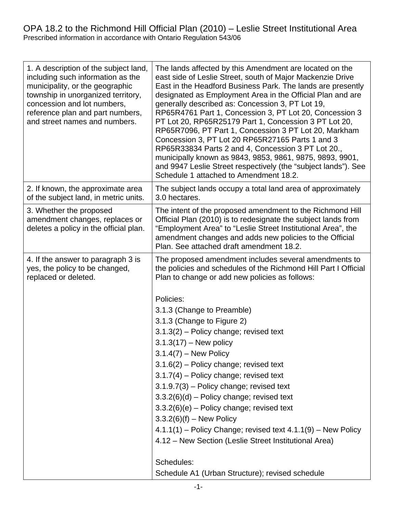## OPA 18.2 to the Richmond Hill Official Plan (2010) – Leslie Street Institutional Area Prescribed information in accordance with Ontario Regulation 543/06 OPA 18.2 to the Richmond Hill Official Plan  $(2010)$  – Leslie Street Institutional Area Prescribed information in accordance with Onta

| 1. A description of the subject land,<br>including such information as the<br>municipality, or the geographic<br>township in unorganized territory,<br>concession and lot numbers,<br>reference plan and part numbers,<br>and street names and numbers. | The lands affected by this Amendment are located on the<br>east side of Leslie Street, south of Major Mackenzie Drive<br>East in the Headford Business Park. The lands are presently<br>designated as Employment Area in the Official Plan and are<br>generally described as: Concession 3, PT Lot 19,<br>RP65R4761 Part 1, Concession 3, PT Lot 20, Concession 3<br>PT Lot 20, RP65R25179 Part 1, Concession 3 PT Lot 20,<br>RP65R7096, PT Part 1, Concession 3 PT Lot 20, Markham<br>Concession 3, PT Lot 20 RP65R27165 Parts 1 and 3<br>RP65R33834 Parts 2 and 4, Concession 3 PT Lot 20.,<br>municipally known as 9843, 9853, 9861, 9875, 9893, 9901,<br>and 9947 Leslie Street respectively (the "subject lands"). See                                         |
|---------------------------------------------------------------------------------------------------------------------------------------------------------------------------------------------------------------------------------------------------------|---------------------------------------------------------------------------------------------------------------------------------------------------------------------------------------------------------------------------------------------------------------------------------------------------------------------------------------------------------------------------------------------------------------------------------------------------------------------------------------------------------------------------------------------------------------------------------------------------------------------------------------------------------------------------------------------------------------------------------------------------------------------|
| 2. If known, the approximate area<br>of the subject land, in metric units.                                                                                                                                                                              | Schedule 1 attached to Amendment 18.2.<br>The subject lands occupy a total land area of approximately<br>3.0 hectares.                                                                                                                                                                                                                                                                                                                                                                                                                                                                                                                                                                                                                                              |
| 3. Whether the proposed<br>amendment changes, replaces or<br>deletes a policy in the official plan.                                                                                                                                                     | The intent of the proposed amendment to the Richmond Hill<br>Official Plan (2010) is to redesignate the subject lands from<br>"Employment Area" to "Leslie Street Institutional Area", the<br>amendment changes and adds new policies to the Official<br>Plan. See attached draft amendment 18.2.                                                                                                                                                                                                                                                                                                                                                                                                                                                                   |
| 4. If the answer to paragraph 3 is<br>yes, the policy to be changed,<br>replaced or deleted.                                                                                                                                                            | The proposed amendment includes several amendments to<br>the policies and schedules of the Richmond Hill Part I Official<br>Plan to change or add new policies as follows:<br>Policies:<br>3.1.3 (Change to Preamble)<br>3.1.3 (Change to Figure 2)<br>$3.1.3(2)$ – Policy change; revised text<br>$3.1.3(17) - New policy$<br>$3.1.4(7)$ – New Policy<br>$3.1.6(2)$ – Policy change; revised text<br>$3.1.7(4)$ – Policy change; revised text<br>$3.1.9.7(3)$ – Policy change; revised text<br>$3.3.2(6)(d)$ – Policy change; revised text<br>$3.3.2(6)(e)$ – Policy change; revised text<br>$3.3.2(6)(f) - New Policy$<br>$4.1.1(1)$ – Policy Change; revised text $4.1.1(9)$ – New Policy<br>4.12 - New Section (Leslie Street Institutional Area)<br>Schedules: |
|                                                                                                                                                                                                                                                         | Schedule A1 (Urban Structure); revised schedule                                                                                                                                                                                                                                                                                                                                                                                                                                                                                                                                                                                                                                                                                                                     |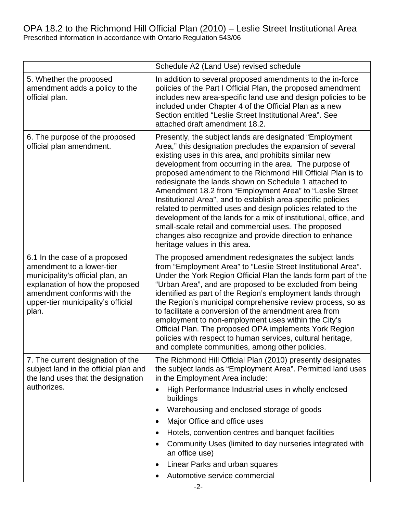## OPA 18.2 to the Richmond Hill Official Plan (2010) – Leslie Street Institutional Area Prescribed information in accordance with Ontario Regulation 543/06

|                                                                                                                                                                                                                 | Schedule A2 (Land Use) revised schedule                                                                                                                                                                                                                                                                                                                                                                                                                                                                                                                                                                                                                                                                                                                                              |
|-----------------------------------------------------------------------------------------------------------------------------------------------------------------------------------------------------------------|--------------------------------------------------------------------------------------------------------------------------------------------------------------------------------------------------------------------------------------------------------------------------------------------------------------------------------------------------------------------------------------------------------------------------------------------------------------------------------------------------------------------------------------------------------------------------------------------------------------------------------------------------------------------------------------------------------------------------------------------------------------------------------------|
| 5. Whether the proposed<br>amendment adds a policy to the<br>official plan.                                                                                                                                     | In addition to several proposed amendments to the in-force<br>policies of the Part I Official Plan, the proposed amendment<br>includes new area-specific land use and design policies to be<br>included under Chapter 4 of the Official Plan as a new<br>Section entitled "Leslie Street Institutional Area". See<br>attached draft amendment 18.2.                                                                                                                                                                                                                                                                                                                                                                                                                                  |
| 6. The purpose of the proposed<br>official plan amendment.                                                                                                                                                      | Presently, the subject lands are designated "Employment"<br>Area," this designation precludes the expansion of several<br>existing uses in this area, and prohibits similar new<br>development from occurring in the area. The purpose of<br>proposed amendment to the Richmond Hill Official Plan is to<br>redesignate the lands shown on Schedule 1 attached to<br>Amendment 18.2 from "Employment Area" to "Leslie Street<br>Institutional Area", and to establish area-specific policies<br>related to permitted uses and design policies related to the<br>development of the lands for a mix of institutional, office, and<br>small-scale retail and commercial uses. The proposed<br>changes also recognize and provide direction to enhance<br>heritage values in this area. |
| 6.1 In the case of a proposed<br>amendment to a lower-tier<br>municipality's official plan, an<br>explanation of how the proposed<br>amendment conforms with the<br>upper-tier municipality's official<br>plan. | The proposed amendment redesignates the subject lands<br>from "Employment Area" to "Leslie Street Institutional Area".<br>Under the York Region Official Plan the lands form part of the<br>"Urban Area", and are proposed to be excluded from being<br>identified as part of the Region's employment lands through<br>the Region's municipal comprehensive review process, so as<br>to facilitate a conversion of the amendment area from<br>employment to non-employment uses within the City's<br>Official Plan. The proposed OPA implements York Region<br>policies with respect to human services, cultural heritage,<br>and complete communities, among other policies.                                                                                                        |
| 7. The current designation of the<br>subject land in the official plan and<br>the land uses that the designation<br>authorizes.                                                                                 | The Richmond Hill Official Plan (2010) presently designates<br>the subject lands as "Employment Area". Permitted land uses<br>in the Employment Area include:<br>High Performance Industrial uses in wholly enclosed<br>$\bullet$<br>buildings<br>Warehousing and enclosed storage of goods<br>$\bullet$<br>Major Office and office uses<br>Hotels, convention centres and banquet facilities<br>Community Uses (limited to day nurseries integrated with<br>٠<br>an office use)<br>Linear Parks and urban squares<br>$\bullet$                                                                                                                                                                                                                                                      |
|                                                                                                                                                                                                                 | Automotive service commercial                                                                                                                                                                                                                                                                                                                                                                                                                                                                                                                                                                                                                                                                                                                                                        |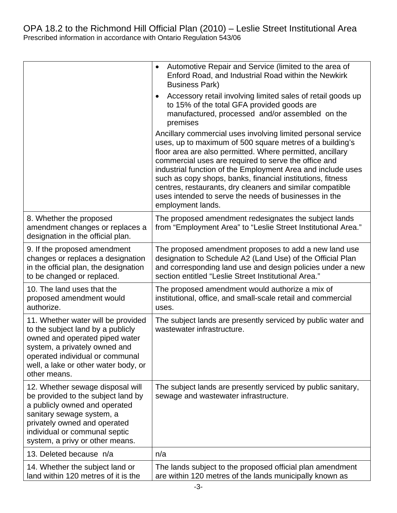|  |                                                                                                                                                                                                                                          | Automotive Repair and Service (limited to the area of<br>$\bullet$<br>Enford Road, and Industrial Road within the Newkirk<br><b>Business Park)</b>                                                                                                                                                                                                                                                                                                                                                                    |
|--|------------------------------------------------------------------------------------------------------------------------------------------------------------------------------------------------------------------------------------------|-----------------------------------------------------------------------------------------------------------------------------------------------------------------------------------------------------------------------------------------------------------------------------------------------------------------------------------------------------------------------------------------------------------------------------------------------------------------------------------------------------------------------|
|  |                                                                                                                                                                                                                                          | Accessory retail involving limited sales of retail goods up<br>$\bullet$<br>to 15% of the total GFA provided goods are<br>manufactured, processed and/or assembled on the<br>premises                                                                                                                                                                                                                                                                                                                                 |
|  |                                                                                                                                                                                                                                          | Ancillary commercial uses involving limited personal service<br>uses, up to maximum of 500 square metres of a building's<br>floor area are also permitted. Where permitted, ancillary<br>commercial uses are required to serve the office and<br>industrial function of the Employment Area and include uses<br>such as copy shops, banks, financial institutions, fitness<br>centres, restaurants, dry cleaners and similar compatible<br>uses intended to serve the needs of businesses in the<br>employment lands. |
|  | 8. Whether the proposed<br>amendment changes or replaces a<br>designation in the official plan.                                                                                                                                          | The proposed amendment redesignates the subject lands<br>from "Employment Area" to "Leslie Street Institutional Area."                                                                                                                                                                                                                                                                                                                                                                                                |
|  | 9. If the proposed amendment<br>changes or replaces a designation<br>in the official plan, the designation<br>to be changed or replaced.                                                                                                 | The proposed amendment proposes to add a new land use<br>designation to Schedule A2 (Land Use) of the Official Plan<br>and corresponding land use and design policies under a new<br>section entitled "Leslie Street Institutional Area."                                                                                                                                                                                                                                                                             |
|  | 10. The land uses that the<br>proposed amendment would<br>authorize.                                                                                                                                                                     | The proposed amendment would authorize a mix of<br>institutional, office, and small-scale retail and commercial<br>uses.                                                                                                                                                                                                                                                                                                                                                                                              |
|  | 11. Whether water will be provided<br>to the subject land by a publicly<br>owned and operated piped water<br>system, a privately owned and<br>operated individual or communal<br>well, a lake or other water body, or<br>other means.    | The subject lands are presently serviced by public water and<br>wastewater infrastructure.                                                                                                                                                                                                                                                                                                                                                                                                                            |
|  | 12. Whether sewage disposal will<br>be provided to the subject land by<br>a publicly owned and operated<br>sanitary sewage system, a<br>privately owned and operated<br>individual or communal septic<br>system, a privy or other means. | The subject lands are presently serviced by public sanitary,<br>sewage and wastewater infrastructure.                                                                                                                                                                                                                                                                                                                                                                                                                 |
|  | 13. Deleted because n/a                                                                                                                                                                                                                  | n/a                                                                                                                                                                                                                                                                                                                                                                                                                                                                                                                   |
|  | 14. Whether the subject land or<br>land within 120 metres of it is the                                                                                                                                                                   | The lands subject to the proposed official plan amendment<br>are within 120 metres of the lands municipally known as                                                                                                                                                                                                                                                                                                                                                                                                  |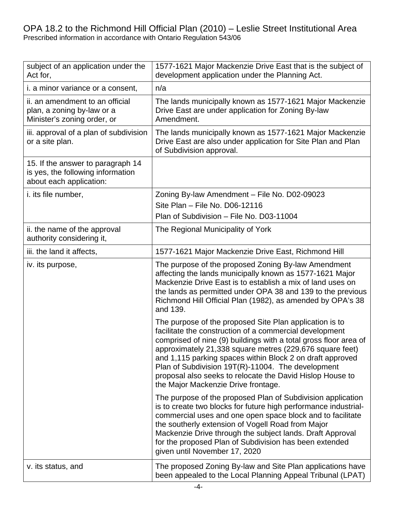## OPA 18.2 to the Richmond Hill Official Plan (2010) – Leslie Street Institutional Area Prescribed information in accordance with Ontario Regulation 543/06

| subject of an application under the<br>Act for,                                                   | 1577-1621 Major Mackenzie Drive East that is the subject of<br>development application under the Planning Act.                                                                                                                                                                                                                                                                                                                                                           |
|---------------------------------------------------------------------------------------------------|--------------------------------------------------------------------------------------------------------------------------------------------------------------------------------------------------------------------------------------------------------------------------------------------------------------------------------------------------------------------------------------------------------------------------------------------------------------------------|
| <i>i. a minor variance or a consent,</i>                                                          | n/a                                                                                                                                                                                                                                                                                                                                                                                                                                                                      |
| ii. an amendment to an official<br>plan, a zoning by-law or a<br>Minister's zoning order, or      | The lands municipally known as 1577-1621 Major Mackenzie<br>Drive East are under application for Zoning By-law<br>Amendment.                                                                                                                                                                                                                                                                                                                                             |
| iii. approval of a plan of subdivision<br>or a site plan.                                         | The lands municipally known as 1577-1621 Major Mackenzie<br>Drive East are also under application for Site Plan and Plan<br>of Subdivision approval.                                                                                                                                                                                                                                                                                                                     |
| 15. If the answer to paragraph 14<br>is yes, the following information<br>about each application: |                                                                                                                                                                                                                                                                                                                                                                                                                                                                          |
| i. its file number,                                                                               | Zoning By-law Amendment - File No. D02-09023<br>Site Plan - File No. D06-12116<br>Plan of Subdivision - File No. D03-11004                                                                                                                                                                                                                                                                                                                                               |
| ii. the name of the approval<br>authority considering it,                                         | The Regional Municipality of York                                                                                                                                                                                                                                                                                                                                                                                                                                        |
| iii. the land it affects,                                                                         | 1577-1621 Major Mackenzie Drive East, Richmond Hill                                                                                                                                                                                                                                                                                                                                                                                                                      |
| iv. its purpose,                                                                                  | The purpose of the proposed Zoning By-law Amendment<br>affecting the lands municipally known as 1577-1621 Major<br>Mackenzie Drive East is to establish a mix of land uses on<br>the lands as permitted under OPA 38 and 139 to the previous<br>Richmond Hill Official Plan (1982), as amended by OPA's 38<br>and 139.                                                                                                                                                   |
|                                                                                                   | The purpose of the proposed Site Plan application is to<br>facilitate the construction of a commercial development<br>comprised of nine (9) buildings with a total gross floor area of<br>approximately 21,338 square metres (229,676 square feet)<br>and 1,115 parking spaces within Block 2 on draft approved<br>Plan of Subdivision 19T(R)-11004. The development<br>proposal also seeks to relocate the David Hislop House to<br>the Major Mackenzie Drive frontage. |
|                                                                                                   | The purpose of the proposed Plan of Subdivision application<br>is to create two blocks for future high performance industrial-<br>commercial uses and one open space block and to facilitate<br>the southerly extension of Vogell Road from Major<br>Mackenzie Drive through the subject lands. Draft Approval<br>for the proposed Plan of Subdivision has been extended<br>given until November 17, 2020                                                                |
| v. its status, and                                                                                | The proposed Zoning By-law and Site Plan applications have<br>been appealed to the Local Planning Appeal Tribunal (LPAT)                                                                                                                                                                                                                                                                                                                                                 |